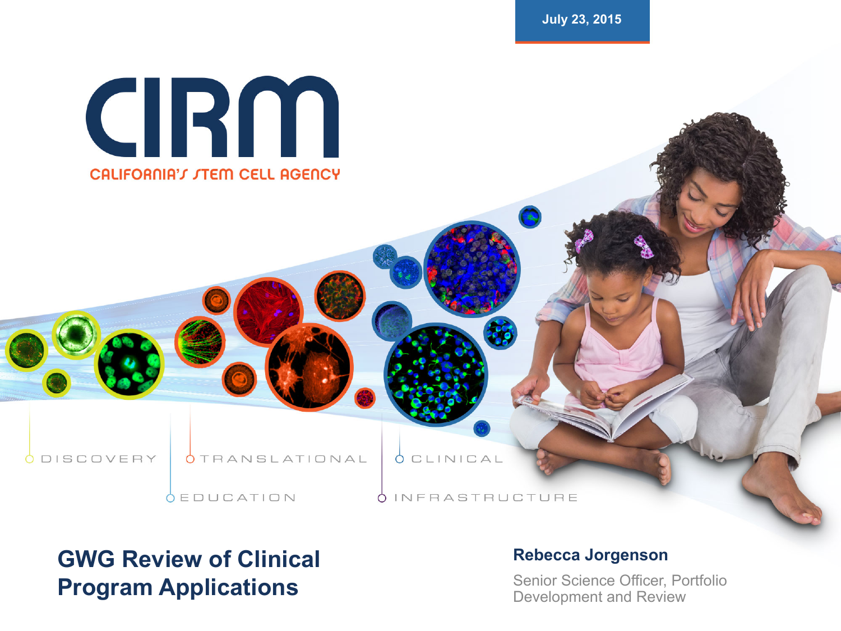**July 23, 2015** 



**ODISCOVERY** 

**OTRANSLATIONAL** 

**OEDUCATION** 

**OCLINICAL** 

OINFRASTRUCTURE

#### **GWG Review of Clinical Program Applications**

#### **Rebecca Jorgenson**

Senior Science Officer, Portfolio Development and Review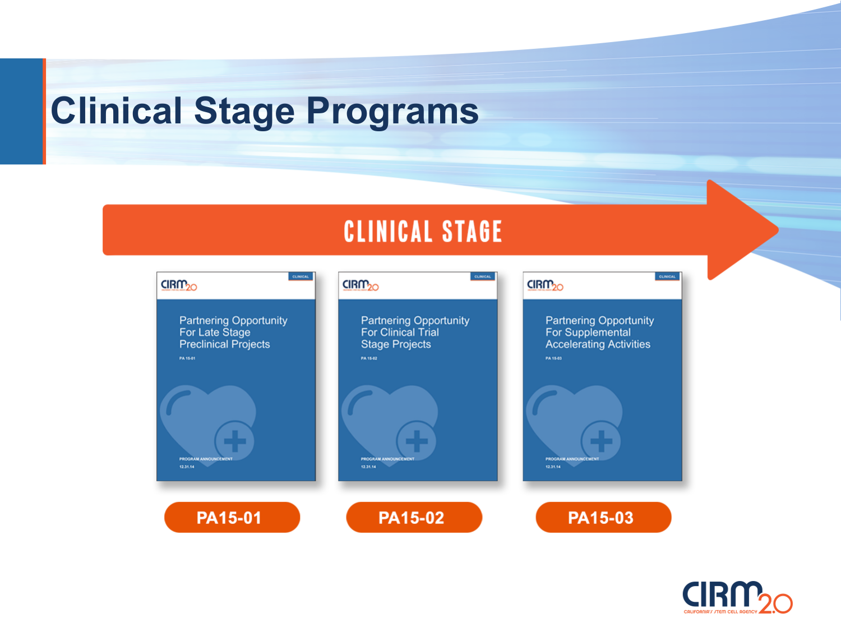### **Clinical Stage Programs**

#### **CLINICAL STAGE**



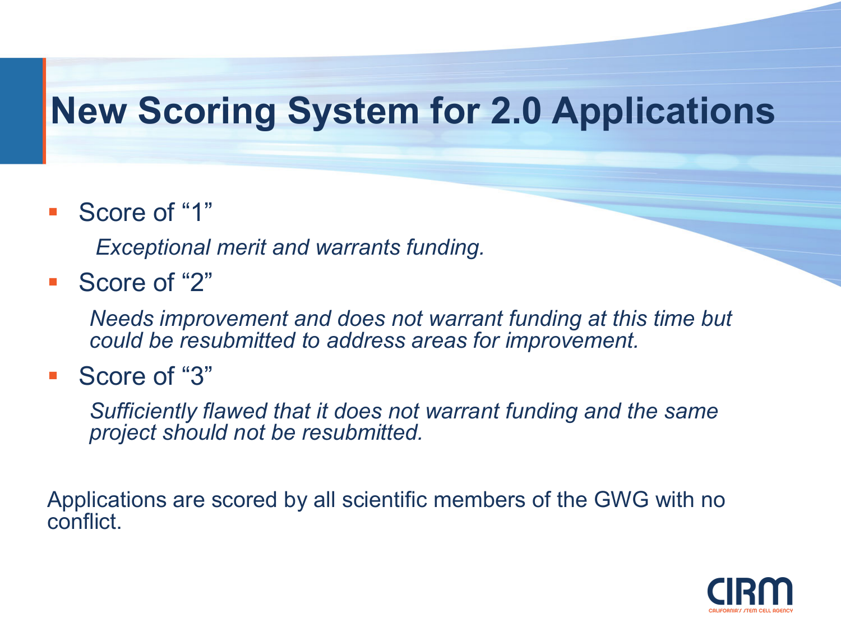### **New Scoring System for 2.0 Applications**

■ Score of "1"

*Exceptional merit and warrants funding.* 

■ Score of "2"

*Needs improvement and does not warrant funding at this time but could be resubmitted to address areas for improvement.* 

■ Score of "3"

*Sufficiently flawed that it does not warrant funding and the same project should not be resubmitted.* 

Applications are scored by all scientific members of the GWG with no conflict.

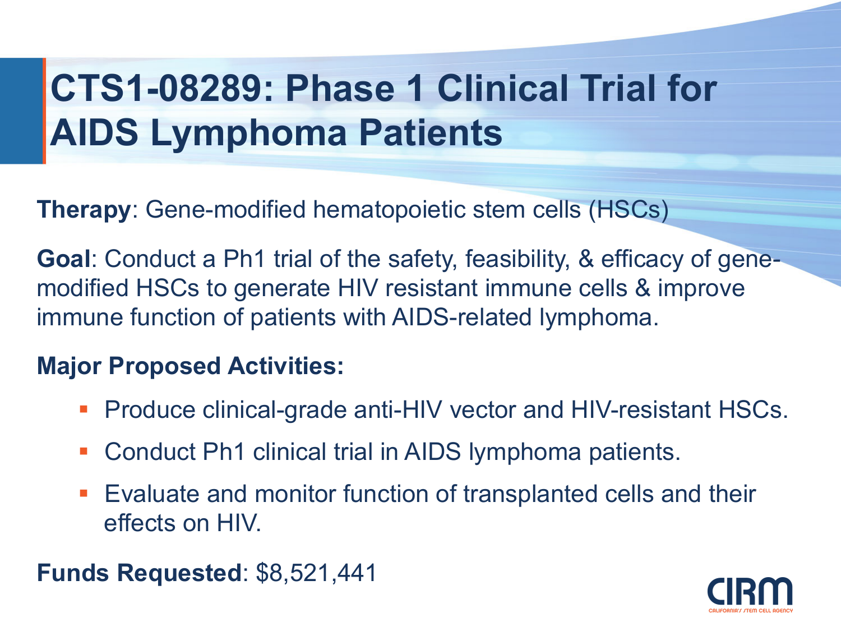# **CTS1-08289: Phase 1 Clinical Trial for AIDS Lymphoma Patients**

**Therapy**: Gene-modified hematopoietic stem cells (HSCs)

**Goal**: Conduct a Ph1 trial of the safety, feasibility, & efficacy of genemodified HSCs to generate HIV resistant immune cells & improve immune function of patients with AIDS-related lymphoma.

#### **Major Proposed Activities:**

- Produce clinical-grade anti-HIV vector and HIV-resistant HSCs.
- Conduct Ph1 clinical trial in AIDS lymphoma patients.
- Evaluate and monitor function of transplanted cells and their effects on HIV.

**Funds Requested**: \$8,521,441

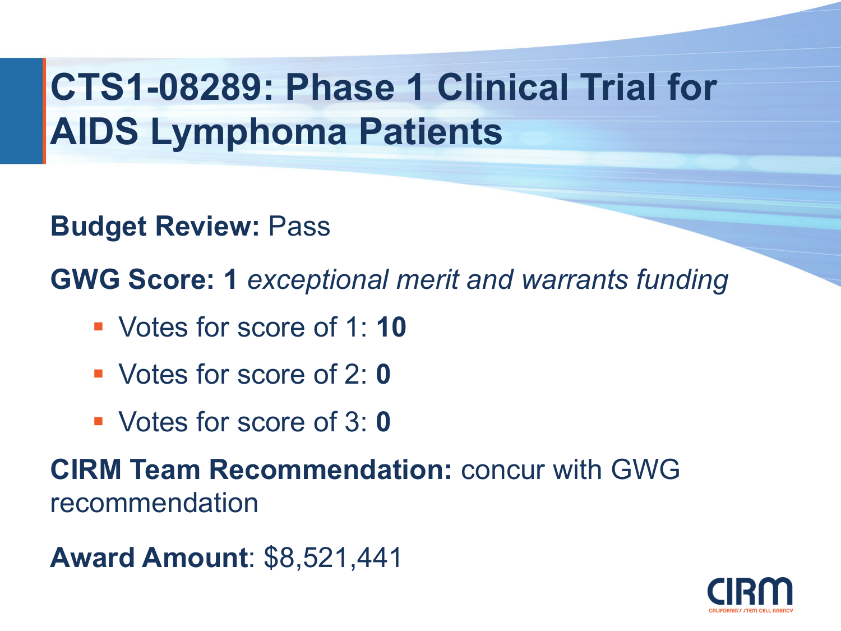# **CTS1-08289: Phase 1 Clinical Trial for AIDS Lymphoma Patients**

**Budget Review:** Pass

**GWG Score: 1** *exceptional merit and warrants funding* 

- § Votes for score of 1: **10**
- § Votes for score of 2: **0**
- § Votes for score of 3: **0**

**CIRM Team Recommendation:** concur with GWG recommendation

**Award Amount**: \$8,521,441

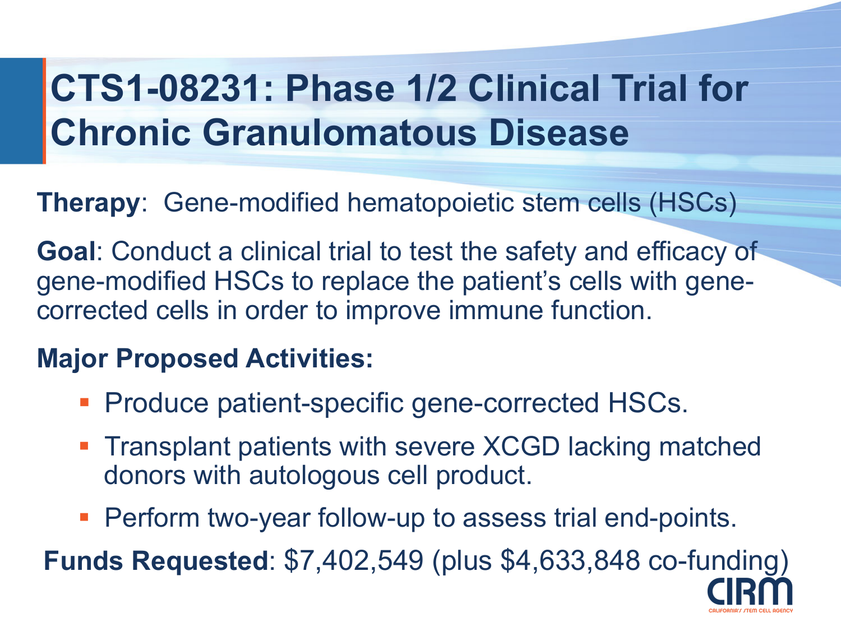# **CTS1-08231: Phase 1/2 Clinical Trial for Chronic Granulomatous Disease**

**Therapy**: Gene-modified hematopoietic stem cells (HSCs)

**Goal**: Conduct a clinical trial to test the safety and efficacy of gene-modified HSCs to replace the patient's cells with genecorrected cells in order to improve immune function.

#### **Major Proposed Activities:**

- Produce patient-specific gene-corrected HSCs.
- Transplant patients with severe XCGD lacking matched donors with autologous cell product.
- Perform two-year follow-up to assess trial end-points.

**Funds Requested**: \$7,402,549 (plus \$4,633,848 co-funding)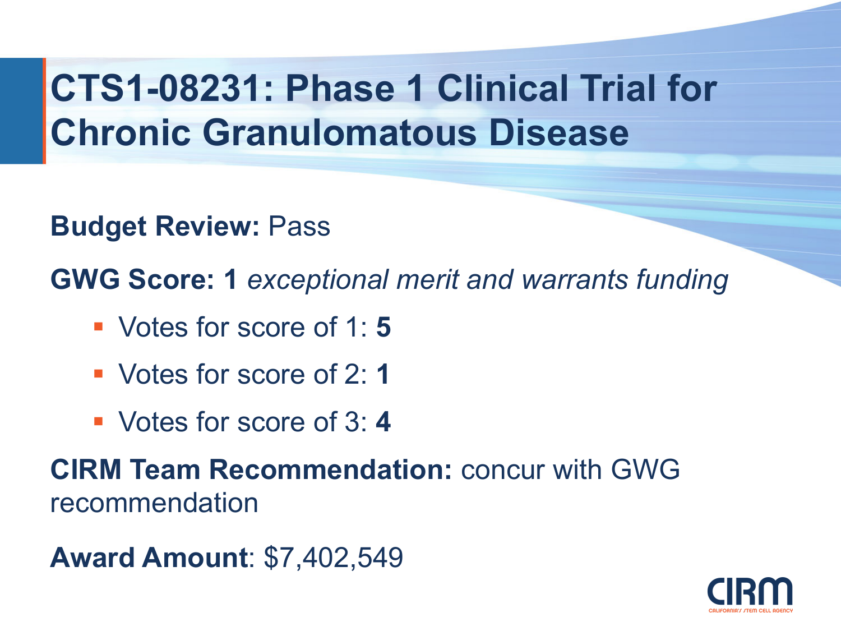# **CTS1-08231: Phase 1 Clinical Trial for Chronic Granulomatous Disease**

**Budget Review:** Pass

**GWG Score: 1** *exceptional merit and warrants funding* 

- § Votes for score of 1: **5**
- § Votes for score of 2: **1**
- § Votes for score of 3: **4**

**CIRM Team Recommendation:** concur with GWG recommendation

**Award Amount**: \$7,402,549

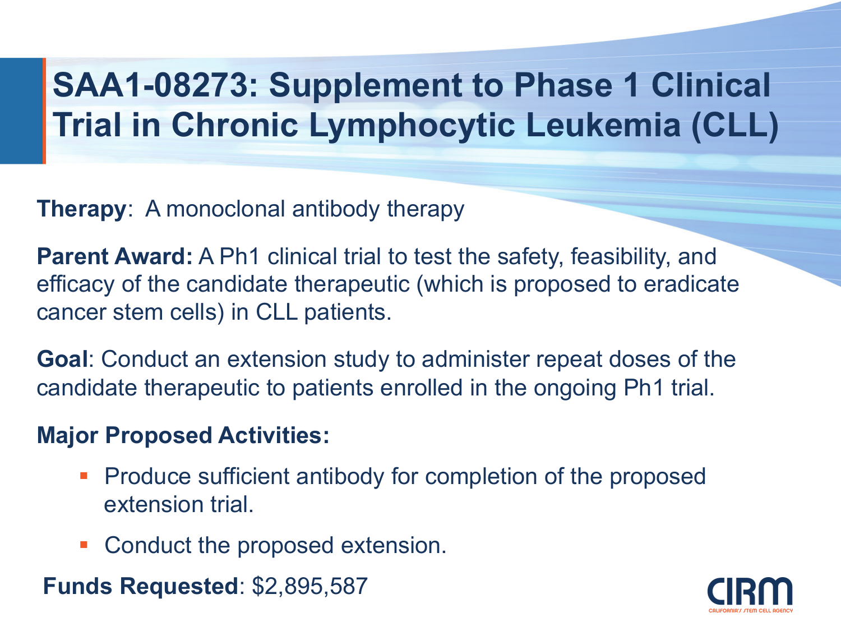### **SAA1-08273: Supplement to Phase 1 Clinical Trial in Chronic Lymphocytic Leukemia (CLL)**

**Therapy**: A monoclonal antibody therapy

**Parent Award:** A Ph1 clinical trial to test the safety, feasibility, and efficacy of the candidate therapeutic (which is proposed to eradicate cancer stem cells) in CLL patients.

**Goal**: Conduct an extension study to administer repeat doses of the candidate therapeutic to patients enrolled in the ongoing Ph1 trial.

#### **Major Proposed Activities:**

- **Produce sufficient antibody for completion of the proposed** extension trial.
- Conduct the proposed extension.

**Funds Requested**: \$2,895,587